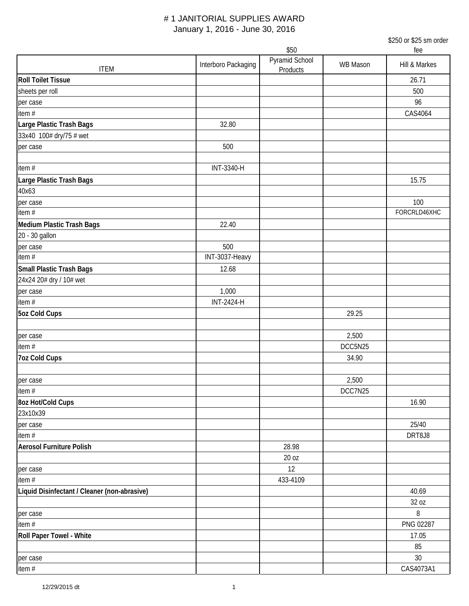\$250 or \$25 sm order

| Pyramid School<br>Interboro Packaging<br>WB Mason<br>Hill & Markes<br><b>ITEM</b><br>Products<br>26.71<br>500<br>96<br>CAS4064<br>32.80<br>500<br>INT-3340-H<br>15.75<br>100<br>FORCRLD46XHC<br>Medium Plastic Trash Bags<br>22.40<br>20 - 30 gallon<br>500<br>per case<br>INT-3037-Heavy<br><b>Small Plastic Trash Bags</b><br>12.68<br>24x24 20# dry / 10# wet<br>1,000<br>per case<br>item $#$<br><b>INT-2424-H</b><br>5oz Cold Cups<br>29.25<br>2,500<br>per case<br>item #<br>DCC5N25<br><b>7oz Cold Cups</b><br>34.90<br>2,500<br>per case<br>item #<br>DCC7N25<br>8oz Hot/Cold Cups<br>16.90<br>23x10x39<br>25/40<br>per case<br>item $#$<br>DRT8J8<br><b>Aerosol Furniture Polish</b><br>28.98<br>20 oz<br>12<br>per case<br>item #<br>433-4109<br>Liquid Disinfectant / Cleaner (non-abrasive)<br>40.69<br>32 oz<br>8<br>per case<br>PNG 02287<br>item $#$<br>Roll Paper Towel - White<br>17.05<br>85 |                           | \$50 |  |  | fee |  |
|----------------------------------------------------------------------------------------------------------------------------------------------------------------------------------------------------------------------------------------------------------------------------------------------------------------------------------------------------------------------------------------------------------------------------------------------------------------------------------------------------------------------------------------------------------------------------------------------------------------------------------------------------------------------------------------------------------------------------------------------------------------------------------------------------------------------------------------------------------------------------------------------------------------|---------------------------|------|--|--|-----|--|
|                                                                                                                                                                                                                                                                                                                                                                                                                                                                                                                                                                                                                                                                                                                                                                                                                                                                                                                |                           |      |  |  |     |  |
|                                                                                                                                                                                                                                                                                                                                                                                                                                                                                                                                                                                                                                                                                                                                                                                                                                                                                                                | <b>Roll Toilet Tissue</b> |      |  |  |     |  |
|                                                                                                                                                                                                                                                                                                                                                                                                                                                                                                                                                                                                                                                                                                                                                                                                                                                                                                                | sheets per roll           |      |  |  |     |  |
|                                                                                                                                                                                                                                                                                                                                                                                                                                                                                                                                                                                                                                                                                                                                                                                                                                                                                                                | per case                  |      |  |  |     |  |
|                                                                                                                                                                                                                                                                                                                                                                                                                                                                                                                                                                                                                                                                                                                                                                                                                                                                                                                | item#                     |      |  |  |     |  |
|                                                                                                                                                                                                                                                                                                                                                                                                                                                                                                                                                                                                                                                                                                                                                                                                                                                                                                                | Large Plastic Trash Bags  |      |  |  |     |  |
|                                                                                                                                                                                                                                                                                                                                                                                                                                                                                                                                                                                                                                                                                                                                                                                                                                                                                                                | 33x40 100# dry/75 # wet   |      |  |  |     |  |
|                                                                                                                                                                                                                                                                                                                                                                                                                                                                                                                                                                                                                                                                                                                                                                                                                                                                                                                | per case                  |      |  |  |     |  |
|                                                                                                                                                                                                                                                                                                                                                                                                                                                                                                                                                                                                                                                                                                                                                                                                                                                                                                                |                           |      |  |  |     |  |
|                                                                                                                                                                                                                                                                                                                                                                                                                                                                                                                                                                                                                                                                                                                                                                                                                                                                                                                | item#                     |      |  |  |     |  |
|                                                                                                                                                                                                                                                                                                                                                                                                                                                                                                                                                                                                                                                                                                                                                                                                                                                                                                                | Large Plastic Trash Bags  |      |  |  |     |  |
|                                                                                                                                                                                                                                                                                                                                                                                                                                                                                                                                                                                                                                                                                                                                                                                                                                                                                                                | 40x63                     |      |  |  |     |  |
|                                                                                                                                                                                                                                                                                                                                                                                                                                                                                                                                                                                                                                                                                                                                                                                                                                                                                                                | per case                  |      |  |  |     |  |
|                                                                                                                                                                                                                                                                                                                                                                                                                                                                                                                                                                                                                                                                                                                                                                                                                                                                                                                | item $#$                  |      |  |  |     |  |
|                                                                                                                                                                                                                                                                                                                                                                                                                                                                                                                                                                                                                                                                                                                                                                                                                                                                                                                |                           |      |  |  |     |  |
|                                                                                                                                                                                                                                                                                                                                                                                                                                                                                                                                                                                                                                                                                                                                                                                                                                                                                                                |                           |      |  |  |     |  |
|                                                                                                                                                                                                                                                                                                                                                                                                                                                                                                                                                                                                                                                                                                                                                                                                                                                                                                                |                           |      |  |  |     |  |
|                                                                                                                                                                                                                                                                                                                                                                                                                                                                                                                                                                                                                                                                                                                                                                                                                                                                                                                | item $#$                  |      |  |  |     |  |
|                                                                                                                                                                                                                                                                                                                                                                                                                                                                                                                                                                                                                                                                                                                                                                                                                                                                                                                |                           |      |  |  |     |  |
|                                                                                                                                                                                                                                                                                                                                                                                                                                                                                                                                                                                                                                                                                                                                                                                                                                                                                                                |                           |      |  |  |     |  |
|                                                                                                                                                                                                                                                                                                                                                                                                                                                                                                                                                                                                                                                                                                                                                                                                                                                                                                                |                           |      |  |  |     |  |
|                                                                                                                                                                                                                                                                                                                                                                                                                                                                                                                                                                                                                                                                                                                                                                                                                                                                                                                |                           |      |  |  |     |  |
|                                                                                                                                                                                                                                                                                                                                                                                                                                                                                                                                                                                                                                                                                                                                                                                                                                                                                                                |                           |      |  |  |     |  |
|                                                                                                                                                                                                                                                                                                                                                                                                                                                                                                                                                                                                                                                                                                                                                                                                                                                                                                                |                           |      |  |  |     |  |
|                                                                                                                                                                                                                                                                                                                                                                                                                                                                                                                                                                                                                                                                                                                                                                                                                                                                                                                |                           |      |  |  |     |  |
|                                                                                                                                                                                                                                                                                                                                                                                                                                                                                                                                                                                                                                                                                                                                                                                                                                                                                                                |                           |      |  |  |     |  |
|                                                                                                                                                                                                                                                                                                                                                                                                                                                                                                                                                                                                                                                                                                                                                                                                                                                                                                                |                           |      |  |  |     |  |
|                                                                                                                                                                                                                                                                                                                                                                                                                                                                                                                                                                                                                                                                                                                                                                                                                                                                                                                |                           |      |  |  |     |  |
|                                                                                                                                                                                                                                                                                                                                                                                                                                                                                                                                                                                                                                                                                                                                                                                                                                                                                                                |                           |      |  |  |     |  |
|                                                                                                                                                                                                                                                                                                                                                                                                                                                                                                                                                                                                                                                                                                                                                                                                                                                                                                                |                           |      |  |  |     |  |
|                                                                                                                                                                                                                                                                                                                                                                                                                                                                                                                                                                                                                                                                                                                                                                                                                                                                                                                |                           |      |  |  |     |  |
|                                                                                                                                                                                                                                                                                                                                                                                                                                                                                                                                                                                                                                                                                                                                                                                                                                                                                                                |                           |      |  |  |     |  |
|                                                                                                                                                                                                                                                                                                                                                                                                                                                                                                                                                                                                                                                                                                                                                                                                                                                                                                                |                           |      |  |  |     |  |
|                                                                                                                                                                                                                                                                                                                                                                                                                                                                                                                                                                                                                                                                                                                                                                                                                                                                                                                |                           |      |  |  |     |  |
|                                                                                                                                                                                                                                                                                                                                                                                                                                                                                                                                                                                                                                                                                                                                                                                                                                                                                                                |                           |      |  |  |     |  |
|                                                                                                                                                                                                                                                                                                                                                                                                                                                                                                                                                                                                                                                                                                                                                                                                                                                                                                                |                           |      |  |  |     |  |
|                                                                                                                                                                                                                                                                                                                                                                                                                                                                                                                                                                                                                                                                                                                                                                                                                                                                                                                |                           |      |  |  |     |  |
|                                                                                                                                                                                                                                                                                                                                                                                                                                                                                                                                                                                                                                                                                                                                                                                                                                                                                                                |                           |      |  |  |     |  |
|                                                                                                                                                                                                                                                                                                                                                                                                                                                                                                                                                                                                                                                                                                                                                                                                                                                                                                                |                           |      |  |  |     |  |
|                                                                                                                                                                                                                                                                                                                                                                                                                                                                                                                                                                                                                                                                                                                                                                                                                                                                                                                |                           |      |  |  |     |  |
|                                                                                                                                                                                                                                                                                                                                                                                                                                                                                                                                                                                                                                                                                                                                                                                                                                                                                                                |                           |      |  |  |     |  |
|                                                                                                                                                                                                                                                                                                                                                                                                                                                                                                                                                                                                                                                                                                                                                                                                                                                                                                                |                           |      |  |  |     |  |
|                                                                                                                                                                                                                                                                                                                                                                                                                                                                                                                                                                                                                                                                                                                                                                                                                                                                                                                |                           |      |  |  |     |  |
|                                                                                                                                                                                                                                                                                                                                                                                                                                                                                                                                                                                                                                                                                                                                                                                                                                                                                                                |                           |      |  |  |     |  |
| 30                                                                                                                                                                                                                                                                                                                                                                                                                                                                                                                                                                                                                                                                                                                                                                                                                                                                                                             | per case                  |      |  |  |     |  |
| CAS4073A1                                                                                                                                                                                                                                                                                                                                                                                                                                                                                                                                                                                                                                                                                                                                                                                                                                                                                                      | item #                    |      |  |  |     |  |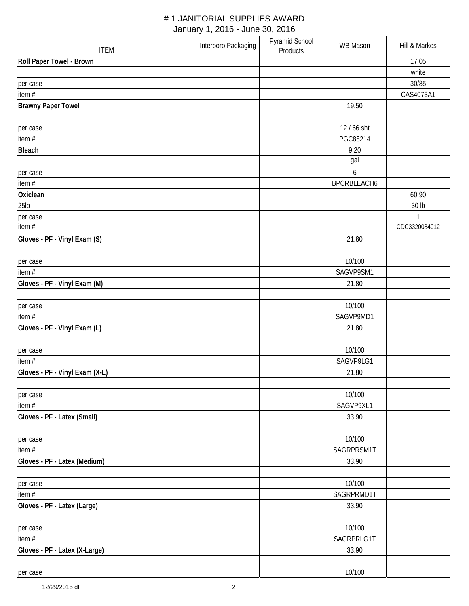| <b>ITEM</b>                    | Interboro Packaging | Pyramid School<br><b>Products</b> | WB Mason            | Hill & Markes |
|--------------------------------|---------------------|-----------------------------------|---------------------|---------------|
| Roll Paper Towel - Brown       |                     |                                   |                     | 17.05         |
|                                |                     |                                   |                     | white         |
| per case                       |                     |                                   |                     | 30/85         |
| item #                         |                     |                                   |                     | CAS4073A1     |
| <b>Brawny Paper Towel</b>      |                     |                                   | 19.50               |               |
|                                |                     |                                   |                     |               |
| per case                       |                     |                                   | 12 / 66 sht         |               |
| item#                          |                     |                                   | PGC88214            |               |
| <b>Bleach</b>                  |                     |                                   | 9.20                |               |
|                                |                     |                                   | gal                 |               |
| per case                       |                     |                                   | 6                   |               |
| item #                         |                     |                                   | BPCRBLEACH6         |               |
| Oxiclean                       |                     |                                   |                     | 60.90         |
| 25lb                           |                     |                                   |                     | 30 lb         |
| per case                       |                     |                                   |                     | 1             |
| item #                         |                     |                                   |                     | CDC3320084012 |
| Gloves - PF - Vinyl Exam (S)   |                     |                                   | 21.80               |               |
|                                |                     |                                   |                     |               |
| per case<br>item#              |                     |                                   | 10/100<br>SAGVP9SM1 |               |
| Gloves - PF - Vinyl Exam (M)   |                     |                                   |                     |               |
|                                |                     |                                   | 21.80               |               |
| per case                       |                     |                                   | 10/100              |               |
| item #                         |                     |                                   | SAGVP9MD1           |               |
| Gloves - PF - Vinyl Exam (L)   |                     |                                   | 21.80               |               |
|                                |                     |                                   |                     |               |
| per case                       |                     |                                   | 10/100              |               |
| item #                         |                     |                                   | SAGVP9LG1           |               |
| Gloves - PF - Vinyl Exam (X-L) |                     |                                   | 21.80               |               |
|                                |                     |                                   |                     |               |
| per case                       |                     |                                   | 10/100              |               |
| item#                          |                     |                                   | SAGVP9XL1           |               |
| Gloves - PF - Latex (Small)    |                     |                                   | 33.90               |               |
|                                |                     |                                   |                     |               |
| per case                       |                     |                                   | 10/100              |               |
| item#                          |                     |                                   | SAGRPRSM1T          |               |
| Gloves - PF - Latex (Medium)   |                     |                                   | 33.90               |               |
|                                |                     |                                   |                     |               |
| per case                       |                     |                                   | 10/100              |               |
| item#                          |                     |                                   | SAGRPRMD1T          |               |
| Gloves - PF - Latex (Large)    |                     |                                   | 33.90               |               |
|                                |                     |                                   |                     |               |
| per case                       |                     |                                   | 10/100              |               |
| item#                          |                     |                                   | SAGRPRLG1T          |               |
| Gloves - PF - Latex (X-Large)  |                     |                                   | 33.90               |               |
|                                |                     |                                   |                     |               |
| per case                       |                     |                                   | 10/100              |               |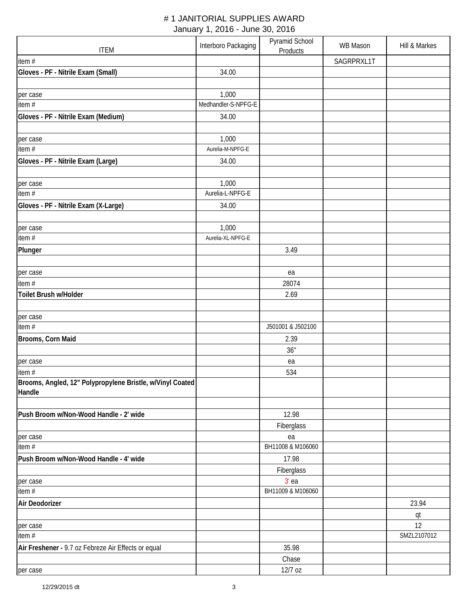| <b>ITEM</b>                                                        | Interboro Packaging | Pyramid School<br>Products | <b>WB Mason</b> | Hill & Markes |
|--------------------------------------------------------------------|---------------------|----------------------------|-----------------|---------------|
| item #                                                             |                     |                            | SAGRPRXL1T      |               |
| Gloves - PF - Nitrile Exam (Small)                                 | 34.00               |                            |                 |               |
|                                                                    |                     |                            |                 |               |
| per case                                                           | 1,000               |                            |                 |               |
| item $#$                                                           | Medhandler-S-NPFG-E |                            |                 |               |
| Gloves - PF - Nitrile Exam (Medium)                                | 34.00               |                            |                 |               |
|                                                                    |                     |                            |                 |               |
| per case                                                           | 1,000               |                            |                 |               |
| item #                                                             | Aurelia-M-NPFG-E    |                            |                 |               |
| Gloves - PF - Nitrile Exam (Large)                                 | 34.00               |                            |                 |               |
|                                                                    |                     |                            |                 |               |
| per case                                                           | 1,000               |                            |                 |               |
| item $#$                                                           | Aurelia-L-NPFG-E    |                            |                 |               |
| Gloves - PF - Nitrile Exam (X-Large)                               | 34.00               |                            |                 |               |
|                                                                    |                     |                            |                 |               |
| per case<br>item #                                                 | 1,000               |                            |                 |               |
|                                                                    | Aurelia-XL-NPFG-E   |                            |                 |               |
| Plunger                                                            |                     | 3.49                       |                 |               |
|                                                                    |                     |                            |                 |               |
| per case                                                           |                     | ea                         |                 |               |
| item #                                                             |                     | 28074                      |                 |               |
| Toilet Brush w/Holder                                              |                     | 2.69                       |                 |               |
|                                                                    |                     |                            |                 |               |
| per case<br>$\overline{\mathsf{item}}$ #                           |                     |                            |                 |               |
|                                                                    |                     | J501001 & J502100          |                 |               |
| Brooms, Corn Maid                                                  |                     | 2.39                       |                 |               |
|                                                                    |                     | 36"                        |                 |               |
| per case                                                           |                     | ea                         |                 |               |
| item#<br>Brooms, Angled, 12" Polypropylene Bristle, w/Vinyl Coated |                     | 534                        |                 |               |
| Handle                                                             |                     |                            |                 |               |
|                                                                    |                     |                            |                 |               |
| Push Broom w/Non-Wood Handle - 2' wide                             |                     | 12.98                      |                 |               |
|                                                                    |                     | Fiberglass                 |                 |               |
| per case                                                           |                     | ea                         |                 |               |
| item #                                                             |                     | BH11008 & M106060          |                 |               |
| Push Broom w/Non-Wood Handle - 4' wide                             |                     | 17.98                      |                 |               |
|                                                                    |                     | Fiberglass                 |                 |               |
| per case                                                           |                     | $3'$ ea                    |                 |               |
| item#                                                              |                     | BH11009 & M106060          |                 |               |
| Air Deodorizer                                                     |                     |                            |                 | 23.94         |
|                                                                    |                     |                            |                 | qt            |
| per case<br>item #                                                 |                     |                            |                 | 12            |
|                                                                    |                     |                            |                 | SMZL2107012   |
| Air Freshener - 9.7 oz Febreze Air Effects or equal                |                     | 35.98                      |                 |               |
|                                                                    |                     | Chase                      |                 |               |
| per case                                                           |                     | 12/7 oz                    |                 |               |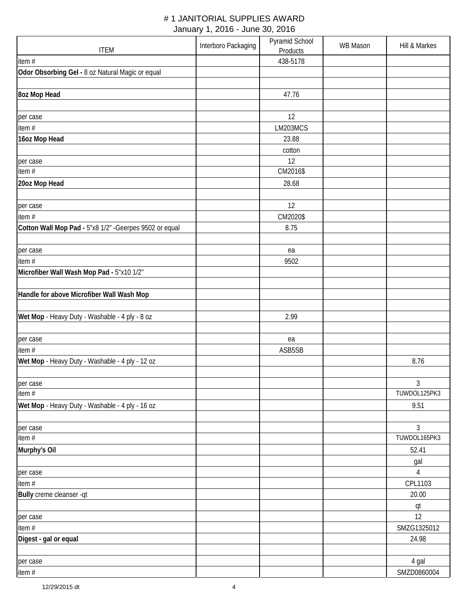| <b>ITEM</b>                                             | Interboro Packaging | Pyramid School<br>Products | <b>WB Mason</b> | Hill & Markes     |
|---------------------------------------------------------|---------------------|----------------------------|-----------------|-------------------|
| item#                                                   |                     | 438-5178                   |                 |                   |
| Odor Obsorbing Gel - 8 oz Natural Magic or equal        |                     |                            |                 |                   |
| 8oz Mop Head                                            |                     | 47.76                      |                 |                   |
| per case                                                |                     | 12                         |                 |                   |
| item#                                                   |                     | LM203MCS                   |                 |                   |
| 16oz Mop Head                                           |                     | 23.88                      |                 |                   |
|                                                         |                     | cotton                     |                 |                   |
| per case                                                |                     | 12                         |                 |                   |
| item#                                                   |                     | CM2016\$                   |                 |                   |
| 20oz Mop Head                                           |                     | 28.68                      |                 |                   |
| per case                                                |                     | 12                         |                 |                   |
| item#                                                   |                     | CM2020\$                   |                 |                   |
| Cotton Wall Mop Pad - 5"x8 1/2" - Geerpes 9502 or equal |                     | 8.75                       |                 |                   |
|                                                         |                     |                            |                 |                   |
| per case                                                |                     | ea                         |                 |                   |
| item#                                                   |                     | 9502                       |                 |                   |
| Microfiber Wall Wash Mop Pad - 5"x10 1/2"               |                     |                            |                 |                   |
| Handle for above Microfiber Wall Wash Mop               |                     |                            |                 |                   |
| Wet Mop - Heavy Duty - Washable - 4 ply - 8 oz          |                     | 2.99                       |                 |                   |
| per case                                                |                     | ea                         |                 |                   |
| item $#$                                                |                     | ASB5SB                     |                 |                   |
| Wet Mop - Heavy Duty - Washable - 4 ply - 12 oz         |                     |                            |                 | 8.76              |
|                                                         |                     |                            |                 |                   |
| per case                                                |                     |                            |                 | 3                 |
| item #                                                  |                     |                            |                 | TUWDOL125PK3      |
| Wet Mop - Heavy Duty - Washable - 4 ply - 16 oz         |                     |                            |                 | 9.51              |
| per case<br>item #                                      |                     |                            |                 | 3<br>TUWDOL165PK3 |
| Murphy's Oil                                            |                     |                            |                 | 52.41             |
|                                                         |                     |                            |                 | gal               |
| per case                                                |                     |                            |                 | $\sqrt{4}$        |
| item#                                                   |                     |                            |                 | CPL1103           |
| Bully creme cleanser -qt                                |                     |                            |                 | 20.00             |
|                                                         |                     |                            |                 | qt                |
| per case                                                |                     |                            |                 | 12                |
| item #                                                  |                     |                            |                 | SMZG1325012       |
| Digest - gal or equal                                   |                     |                            |                 | 24.98             |
| per case                                                |                     |                            |                 | 4 gal             |
| item#                                                   |                     |                            |                 | SMZD0860004       |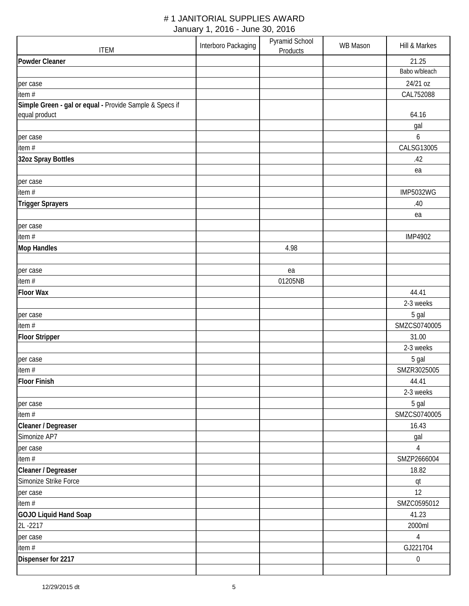|                                                         | Interboro Packaging | Pyramid School | <b>WB Mason</b> | Hill & Markes         |
|---------------------------------------------------------|---------------------|----------------|-----------------|-----------------------|
| <b>ITEM</b>                                             |                     | Products       |                 |                       |
| <b>Powder Cleaner</b>                                   |                     |                |                 | 21.25                 |
|                                                         |                     |                |                 | Babo w/bleach         |
| per case                                                |                     |                |                 | 24/21 oz              |
| item#                                                   |                     |                |                 | CAL752088             |
| Simple Green - gal or equal - Provide Sample & Specs if |                     |                |                 |                       |
| equal product                                           |                     |                |                 | 64.16                 |
|                                                         |                     |                |                 | gal                   |
| per case                                                |                     |                |                 | 6                     |
| item $#$                                                |                     |                |                 | CALSG13005            |
| 32oz Spray Bottles                                      |                     |                |                 | .42                   |
|                                                         |                     |                |                 | ea                    |
| per case                                                |                     |                |                 |                       |
| item#                                                   |                     |                |                 | <b>IMP5032WG</b>      |
| <b>Trigger Sprayers</b>                                 |                     |                |                 | .40                   |
|                                                         |                     |                |                 | ea                    |
| per case                                                |                     |                |                 |                       |
| item#                                                   |                     |                |                 | <b>IMP4902</b>        |
| <b>Mop Handles</b>                                      |                     | 4.98           |                 |                       |
|                                                         |                     |                |                 |                       |
| per case                                                |                     | ea             |                 |                       |
| item #                                                  |                     | 01205NB        |                 |                       |
| <b>Floor Wax</b>                                        |                     |                |                 | 44.41                 |
|                                                         |                     |                |                 | 2-3 weeks             |
|                                                         |                     |                |                 |                       |
| per case<br>item#                                       |                     |                |                 | 5 gal<br>SMZCS0740005 |
|                                                         |                     |                |                 |                       |
| <b>Floor Stripper</b>                                   |                     |                |                 | 31.00                 |
|                                                         |                     |                |                 | 2-3 weeks             |
| per case                                                |                     |                |                 | 5 gal                 |
| item#                                                   |                     |                |                 | SMZR3025005           |
| <b>Floor Finish</b>                                     |                     |                |                 | 44.41                 |
|                                                         |                     |                |                 | 2-3 weeks             |
| per case                                                |                     |                |                 | 5 gal                 |
| item #                                                  |                     |                |                 | SMZCS0740005          |
| Cleaner / Degreaser                                     |                     |                |                 | 16.43                 |
| Simonize AP7                                            |                     |                |                 | gal                   |
| per case                                                |                     |                |                 | $\overline{4}$        |
| item#                                                   |                     |                |                 | SMZP2666004           |
| Cleaner / Degreaser                                     |                     |                |                 | 18.82                 |
| Simonize Strike Force                                   |                     |                |                 | qt                    |
| per case                                                |                     |                |                 | 12                    |
| item#                                                   |                     |                |                 | SMZC0595012           |
| GOJO Liquid Hand Soap                                   |                     |                |                 | 41.23                 |
| 2L-2217                                                 |                     |                |                 | 2000ml                |
| per case                                                |                     |                |                 | $\overline{4}$        |
| item#                                                   |                     |                |                 | GJ221704              |
| Dispenser for 2217                                      |                     |                |                 | $\boldsymbol{0}$      |
|                                                         |                     |                |                 |                       |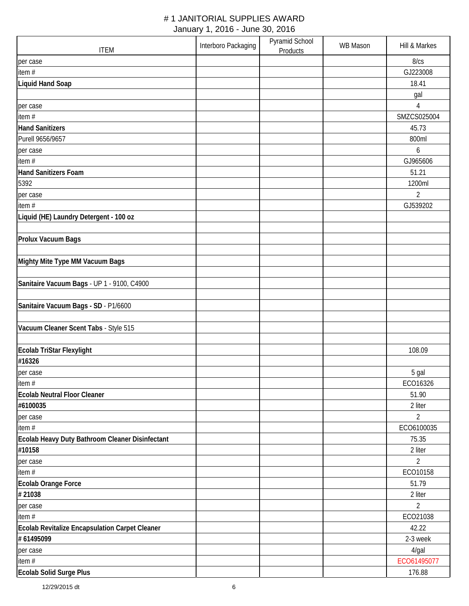| <b>ITEM</b>                                     | Interboro Packaging | Pyramid School<br>Products | <b>WB Mason</b> | Hill & Markes  |
|-------------------------------------------------|---------------------|----------------------------|-----------------|----------------|
| per case                                        |                     |                            |                 | 8/cs           |
| item#                                           |                     |                            |                 | GJ223008       |
| <b>Liquid Hand Soap</b>                         |                     |                            |                 | 18.41          |
|                                                 |                     |                            |                 | gal            |
| per case                                        |                     |                            |                 | 4              |
| item#                                           |                     |                            |                 | SMZCS025004    |
| <b>Hand Sanitizers</b>                          |                     |                            |                 | 45.73          |
| Purell 9656/9657                                |                     |                            |                 | 800ml          |
| per case                                        |                     |                            |                 | 6              |
| item#                                           |                     |                            |                 | GJ965606       |
| <b>Hand Sanitizers Foam</b>                     |                     |                            |                 | 51.21          |
| 5392                                            |                     |                            |                 | 1200ml         |
| per case                                        |                     |                            |                 | $\overline{2}$ |
| item#                                           |                     |                            |                 | GJ539202       |
| Liquid (HE) Laundry Detergent - 100 oz          |                     |                            |                 |                |
|                                                 |                     |                            |                 |                |
| <b>Prolux Vacuum Bags</b>                       |                     |                            |                 |                |
|                                                 |                     |                            |                 |                |
| Mighty Mite Type MM Vacuum Bags                 |                     |                            |                 |                |
|                                                 |                     |                            |                 |                |
| Sanitaire Vacuum Bags - UP 1 - 9100, C4900      |                     |                            |                 |                |
| Sanitaire Vacuum Bags - SD - P1/6600            |                     |                            |                 |                |
|                                                 |                     |                            |                 |                |
| Vacuum Cleaner Scent Tabs - Style 515           |                     |                            |                 |                |
| Ecolab TriStar Flexylight                       |                     |                            |                 | 108.09         |
| #16326                                          |                     |                            |                 |                |
| per case                                        |                     |                            |                 | 5 gal          |
| item#                                           |                     |                            |                 | ECO16326       |
| <b>Ecolab Neutral Floor Cleaner</b>             |                     |                            |                 | 51.90          |
| #6100035                                        |                     |                            |                 | 2 liter        |
| per case                                        |                     |                            |                 | $\overline{2}$ |
| item#                                           |                     |                            |                 | ECO6100035     |
| Ecolab Heavy Duty Bathroom Cleaner Disinfectant |                     |                            |                 | 75.35          |
| #10158                                          |                     |                            |                 | 2 liter        |
| per case                                        |                     |                            |                 | $\overline{2}$ |
| item#                                           |                     |                            |                 | ECO10158       |
| Ecolab Orange Force                             |                     |                            |                 | 51.79          |
| #21038                                          |                     |                            |                 | 2 liter        |
| per case                                        |                     |                            |                 | $\overline{2}$ |
| item#                                           |                     |                            |                 | ECO21038       |
| Ecolab Revitalize Encapsulation Carpet Cleaner  |                     |                            |                 | 42.22          |
| #61495099                                       |                     |                            |                 | 2-3 week       |
| per case                                        |                     |                            |                 | 4/gal          |
| item #                                          |                     |                            |                 | ECO61495077    |
| Ecolab Solid Surge Plus                         |                     |                            |                 | 176.88         |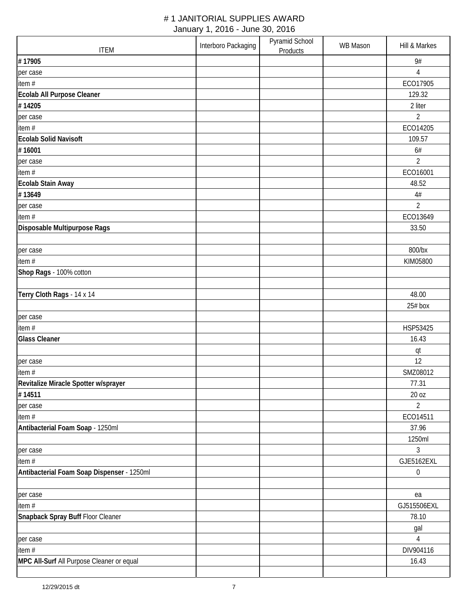| <b>ITEM</b>                                | Interboro Packaging | Pyramid School<br>Products | <b>WB Mason</b> | Hill & Markes    |
|--------------------------------------------|---------------------|----------------------------|-----------------|------------------|
| #17905                                     |                     |                            |                 | 9#               |
| per case                                   |                     |                            |                 | $\overline{4}$   |
| item#                                      |                     |                            |                 | ECO17905         |
| Ecolab All Purpose Cleaner                 |                     |                            |                 | 129.32           |
| #14205                                     |                     |                            |                 | 2 liter          |
| per case                                   |                     |                            |                 | $\overline{2}$   |
| item#                                      |                     |                            |                 | ECO14205         |
| <b>Ecolab Solid Navisoft</b>               |                     |                            |                 | 109.57           |
| #16001                                     |                     |                            |                 | 6#               |
| per case                                   |                     |                            |                 | $\overline{2}$   |
| item #                                     |                     |                            |                 | ECO16001         |
| <b>Ecolab Stain Away</b>                   |                     |                            |                 | 48.52            |
| #13649                                     |                     |                            |                 | $4\#$            |
| per case                                   |                     |                            |                 | $\overline{2}$   |
| item#                                      |                     |                            |                 | ECO13649         |
| Disposable Multipurpose Rags               |                     |                            |                 | 33.50            |
|                                            |                     |                            |                 |                  |
| per case                                   |                     |                            |                 | 800/bx           |
| item#                                      |                     |                            |                 | KIM05800         |
| Shop Rags - 100% cotton                    |                     |                            |                 |                  |
|                                            |                     |                            |                 |                  |
| Terry Cloth Rags - 14 x 14                 |                     |                            |                 | 48.00            |
|                                            |                     |                            |                 | 25# box          |
| per case                                   |                     |                            |                 |                  |
| item #                                     |                     |                            |                 | HSP53425         |
| <b>Glass Cleaner</b>                       |                     |                            |                 | 16.43            |
|                                            |                     |                            |                 | qt               |
| per case                                   |                     |                            |                 | 12               |
| item#                                      |                     |                            |                 | SMZ08012         |
| Revitalize Miracle Spotter w/sprayer       |                     |                            |                 | 77.31            |
| #14511                                     |                     |                            |                 | 20 oz            |
| per case                                   |                     |                            |                 | $\overline{2}$   |
| item#                                      |                     |                            |                 | ECO14511         |
| Antibacterial Foam Soap - 1250ml           |                     |                            |                 | 37.96            |
|                                            |                     |                            |                 | 1250ml           |
| per case                                   |                     |                            |                 | 3                |
| item #                                     |                     |                            |                 | GJE5162EXL       |
| Antibacterial Foam Soap Dispenser - 1250ml |                     |                            |                 | $\boldsymbol{0}$ |
|                                            |                     |                            |                 |                  |
| per case                                   |                     |                            |                 | ea               |
| item #                                     |                     |                            |                 | GJ515506EXL      |
| Snapback Spray Buff Floor Cleaner          |                     |                            |                 | 78.10            |
|                                            |                     |                            |                 | gal              |
| per case                                   |                     |                            |                 | $\overline{4}$   |
| item#                                      |                     |                            |                 | DIV904116        |
| MPC All-Surf All Purpose Cleaner or equal  |                     |                            |                 | 16.43            |
|                                            |                     |                            |                 |                  |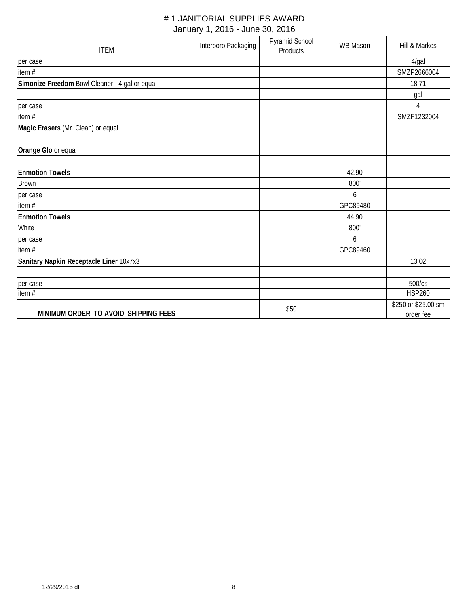| <b>ITEM</b>                                    | Interboro Packaging | Pyramid School<br>Products | WB Mason | Hill & Markes                    |
|------------------------------------------------|---------------------|----------------------------|----------|----------------------------------|
| per case                                       |                     |                            |          | 4/gal                            |
| item #                                         |                     |                            |          | SMZP2666004                      |
| Simonize Freedom Bowl Cleaner - 4 gal or equal |                     |                            |          | 18.71                            |
|                                                |                     |                            |          | gal                              |
| per case                                       |                     |                            |          | 4                                |
| item #                                         |                     |                            |          | SMZF1232004                      |
| Magic Erasers (Mr. Clean) or equal             |                     |                            |          |                                  |
| Orange Glo or equal                            |                     |                            |          |                                  |
| <b>Enmotion Towels</b>                         |                     |                            | 42.90    |                                  |
| <b>Brown</b>                                   |                     |                            | 800'     |                                  |
| per case                                       |                     |                            | 6        |                                  |
| item#                                          |                     |                            | GPC89480 |                                  |
| <b>Enmotion Towels</b>                         |                     |                            | 44.90    |                                  |
| White                                          |                     |                            | 800'     |                                  |
| per case                                       |                     |                            | 6        |                                  |
| item#                                          |                     |                            | GPC89460 |                                  |
| Sanitary Napkin Receptacle Liner 10x7x3        |                     |                            |          | 13.02                            |
|                                                |                     |                            |          |                                  |
| per case                                       |                     |                            |          | 500/cs                           |
| item#                                          |                     |                            |          | <b>HSP260</b>                    |
| MINIMUM ORDER TO AVOID SHIPPING FEES           |                     | \$50                       |          | \$250 or \$25.00 sm<br>order fee |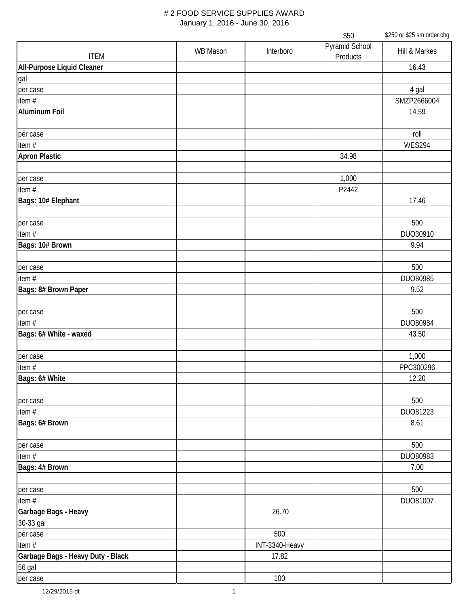|                                   |                 |                | \$50                       | \$250 or \$25 sm order chg |
|-----------------------------------|-----------------|----------------|----------------------------|----------------------------|
| <b>ITEM</b>                       | <b>WB Mason</b> | Interboro      | Pyramid School<br>Products | Hill & Markes              |
| All-Purpose Liquid Cleaner        |                 |                |                            | 16.43                      |
| gal                               |                 |                |                            |                            |
| per case                          |                 |                |                            | 4 gal                      |
| item#                             |                 |                |                            | SMZP2666004                |
| Aluminum Foil                     |                 |                |                            | 14.59                      |
|                                   |                 |                |                            |                            |
| per case                          |                 |                |                            | roll                       |
| item#                             |                 |                |                            | <b>WES294</b>              |
| <b>Apron Plastic</b>              |                 |                | 34.98                      |                            |
|                                   |                 |                |                            |                            |
| per case                          |                 |                | 1,000                      |                            |
| item#                             |                 |                | P2442                      |                            |
| Bags: 10# Elephant                |                 |                |                            | 17.46                      |
|                                   |                 |                |                            |                            |
| per case                          |                 |                |                            | 500                        |
| item#                             |                 |                |                            | DUO30910                   |
| Bags: 10# Brown                   |                 |                |                            | 9.94                       |
|                                   |                 |                |                            |                            |
| per case                          |                 |                |                            | 500                        |
| item #                            |                 |                |                            | DUO80985                   |
| Bags: 8# Brown Paper              |                 |                |                            | 9.52                       |
|                                   |                 |                |                            |                            |
| per case                          |                 |                |                            | 500                        |
| item $#$                          |                 |                |                            | DUO80984                   |
| Bags: 6# White - waxed            |                 |                |                            | 43.50                      |
|                                   |                 |                |                            |                            |
| per case                          |                 |                |                            | 1,000                      |
| item#                             |                 |                |                            | PPC300296                  |
| Bags: 6# White                    |                 |                |                            | 12.20                      |
|                                   |                 |                |                            |                            |
| per case                          |                 |                |                            | 500                        |
| item #                            |                 |                |                            | DU081223                   |
| Bags: 6# Brown                    |                 |                |                            | 8.61                       |
|                                   |                 |                |                            |                            |
| per case                          |                 |                |                            | 500                        |
| item #                            |                 |                |                            | DU080983                   |
| Bags: 4# Brown                    |                 |                |                            | 7.00                       |
|                                   |                 |                |                            |                            |
| per case                          |                 |                |                            | 500                        |
| item#                             |                 |                |                            | DU081007                   |
| Garbage Bags - Heavy              |                 | 26.70          |                            |                            |
|                                   |                 |                |                            |                            |
| 30-33 gal                         |                 | 500            |                            |                            |
| per case                          |                 |                |                            |                            |
| item#                             |                 | INT-3340-Heavy |                            |                            |
| Garbage Bags - Heavy Duty - Black |                 | 17.82          |                            |                            |
| 56 gal                            |                 |                |                            |                            |
| per case                          |                 | 100            |                            |                            |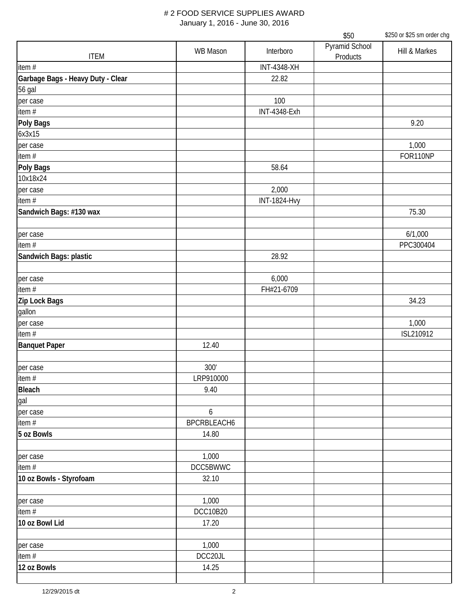|                                   |                 |                     | \$50                       | \$250 or \$25 sm order chg |
|-----------------------------------|-----------------|---------------------|----------------------------|----------------------------|
| <b>ITEM</b>                       | <b>WB Mason</b> | Interboro           | Pyramid School<br>Products | Hill & Markes              |
| item #                            |                 | <b>INT-4348-XH</b>  |                            |                            |
| Garbage Bags - Heavy Duty - Clear |                 | 22.82               |                            |                            |
| 56 gal                            |                 |                     |                            |                            |
| per case                          |                 | 100                 |                            |                            |
| item #                            |                 | <b>INT-4348-Exh</b> |                            |                            |
| Poly Bags                         |                 |                     |                            | 9.20                       |
| 6x3x15                            |                 |                     |                            |                            |
| per case                          |                 |                     |                            | 1,000                      |
| item #                            |                 |                     |                            | FOR110NP                   |
| Poly Bags                         |                 | 58.64               |                            |                            |
| 10x18x24                          |                 |                     |                            |                            |
| per case                          |                 | 2,000               |                            |                            |
| item#                             |                 | <b>INT-1824-Hvy</b> |                            |                            |
| Sandwich Bags: #130 wax           |                 |                     |                            | 75.30                      |
| per case                          |                 |                     |                            | 6/1,000                    |
| item $#$                          |                 |                     |                            | PPC300404                  |
| Sandwich Bags: plastic            |                 | 28.92               |                            |                            |
|                                   |                 |                     |                            |                            |
| per case                          |                 | 6,000               |                            |                            |
| item#                             |                 | FH#21-6709          |                            |                            |
| Zip Lock Bags                     |                 |                     |                            | 34.23                      |
| gallon                            |                 |                     |                            |                            |
| per case                          |                 |                     |                            | 1,000                      |
| item $#$                          |                 |                     |                            | ISL210912                  |
| <b>Banquet Paper</b>              | 12.40           |                     |                            |                            |
| per case                          | 300'            |                     |                            |                            |
| item #                            | LRP910000       |                     |                            |                            |
| <b>Bleach</b>                     | 9.40            |                     |                            |                            |
| gal                               |                 |                     |                            |                            |
| per case                          | 6               |                     |                            |                            |
| item $#$                          | BPCRBLEACH6     |                     |                            |                            |
| 5 oz Bowls                        | 14.80           |                     |                            |                            |
|                                   |                 |                     |                            |                            |
| per case                          | 1,000           |                     |                            |                            |
| item $#$                          | DCC5BWWC        |                     |                            |                            |
| 10 oz Bowls - Styrofoam           | 32.10           |                     |                            |                            |
| per case                          | 1,000           |                     |                            |                            |
| item #                            | <b>DCC10B20</b> |                     |                            |                            |
| 10 oz Bowl Lid                    | 17.20           |                     |                            |                            |
|                                   |                 |                     |                            |                            |
| per case                          | 1,000           |                     |                            |                            |
| item #                            | DCC20JL         |                     |                            |                            |
| 12 oz Bowls                       | 14.25           |                     |                            |                            |
|                                   |                 |                     |                            |                            |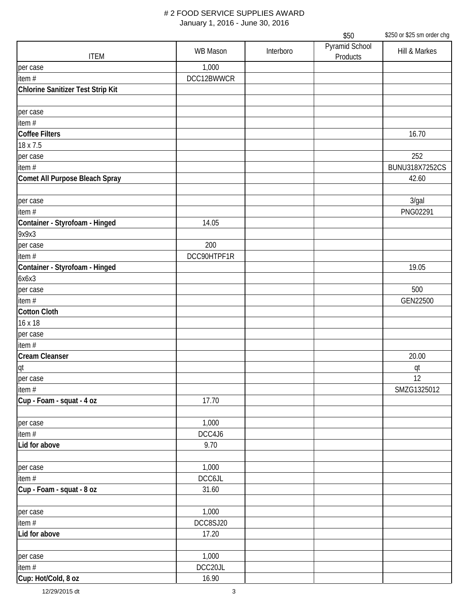|                                   |                 |           | \$50                       | \$250 or \$25 sm order chg |
|-----------------------------------|-----------------|-----------|----------------------------|----------------------------|
| <b>ITEM</b>                       | <b>WB Mason</b> | Interboro | Pyramid School<br>Products | Hill & Markes              |
| per case                          | 1,000           |           |                            |                            |
| item $#$                          | DCC12BWWCR      |           |                            |                            |
| Chlorine Sanitizer Test Strip Kit |                 |           |                            |                            |
|                                   |                 |           |                            |                            |
| per case                          |                 |           |                            |                            |
| item $#$                          |                 |           |                            |                            |
| <b>Coffee Filters</b>             |                 |           |                            | 16.70                      |
| 18 x 7.5                          |                 |           |                            |                            |
| per case                          |                 |           |                            | 252                        |
| item #                            |                 |           |                            | <b>BUNU318X7252CS</b>      |
| Comet All Purpose Bleach Spray    |                 |           |                            | 42.60                      |
| per case                          |                 |           |                            | 3/gal                      |
| item#                             |                 |           |                            | PNG02291                   |
| Container - Styrofoam - Hinged    | 14.05           |           |                            |                            |
| 9x9x3                             |                 |           |                            |                            |
| per case                          | 200             |           |                            |                            |
| item#                             | DCC90HTPF1R     |           |                            |                            |
| Container - Styrofoam - Hinged    |                 |           |                            | 19.05                      |
| 6x6x3                             |                 |           |                            |                            |
| per case                          |                 |           |                            | 500                        |
| item $#$                          |                 |           |                            | GEN22500                   |
| <b>Cotton Cloth</b>               |                 |           |                            |                            |
| 16 x 18                           |                 |           |                            |                            |
| per case                          |                 |           |                            |                            |
| item#                             |                 |           |                            |                            |
|                                   |                 |           |                            | 20.00                      |
| Cream Cleanser<br>qt              |                 |           |                            | qt                         |
| per case                          |                 |           |                            | 12                         |
| item #                            |                 |           |                            | SMZG1325012                |
| Cup - Foam - squat - 4 oz         | 17.70           |           |                            |                            |
|                                   |                 |           |                            |                            |
| per case                          | 1,000           |           |                            |                            |
| item#                             | DCC4J6          |           |                            |                            |
| Lid for above                     | 9.70            |           |                            |                            |
|                                   |                 |           |                            |                            |
| per case                          | 1,000           |           |                            |                            |
| item#                             | DCC6JL          |           |                            |                            |
| Cup - Foam - squat - 8 oz         | 31.60           |           |                            |                            |
|                                   |                 |           |                            |                            |
| per case                          | 1,000           |           |                            |                            |
| item#                             | DCC8SJ20        |           |                            |                            |
| Lid for above                     | 17.20           |           |                            |                            |
|                                   |                 |           |                            |                            |
| per case                          | 1,000           |           |                            |                            |
| item#                             | DCC20JL         |           |                            |                            |
| Cup: Hot/Cold, 8 oz               | 16.90           |           |                            |                            |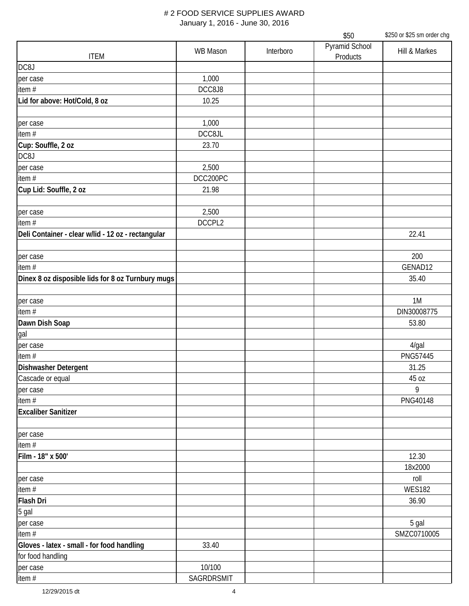|                                                    | \$250 or \$25 sm order chg<br>\$50 |           |                            |                  |
|----------------------------------------------------|------------------------------------|-----------|----------------------------|------------------|
| <b>ITEM</b>                                        | <b>WB Mason</b>                    | Interboro | Pyramid School<br>Products | Hill & Markes    |
| DC8J                                               |                                    |           |                            |                  |
| per case                                           | 1,000                              |           |                            |                  |
| item $#$                                           | DCC8J8                             |           |                            |                  |
| Lid for above: Hot/Cold, 8 oz                      | 10.25                              |           |                            |                  |
| per case                                           | 1,000                              |           |                            |                  |
| item#                                              | DCC8JL                             |           |                            |                  |
| Cup: Souffle, 2 oz                                 | 23.70                              |           |                            |                  |
| DC8J                                               |                                    |           |                            |                  |
| per case                                           | 2,500                              |           |                            |                  |
| item#                                              | DCC200PC                           |           |                            |                  |
| Cup Lid: Souffle, 2 oz                             | 21.98                              |           |                            |                  |
| per case                                           | 2,500                              |           |                            |                  |
| item#                                              | DCCPL2                             |           |                            |                  |
| Deli Container - clear w/lid - 12 oz - rectangular |                                    |           |                            | 22.41            |
| per case                                           |                                    |           |                            | 200              |
| item#                                              |                                    |           |                            | GENAD12          |
| Dinex 8 oz disposible lids for 8 oz Turnbury mugs  |                                    |           |                            | 35.40            |
| per case                                           |                                    |           |                            | 1M               |
| item $#$                                           |                                    |           |                            | DIN30008775      |
| Dawn Dish Soap                                     |                                    |           |                            | 53.80            |
| gal                                                |                                    |           |                            |                  |
| per case                                           |                                    |           |                            | 4/gal            |
| item#                                              |                                    |           |                            | PNG57445         |
| <b>Dishwasher Detergent</b>                        |                                    |           |                            | 31.25            |
| Cascade or equal                                   |                                    |           |                            | 45 oz            |
| per case                                           |                                    |           |                            | 9                |
| item #                                             |                                    |           |                            | PNG40148         |
| <b>Excaliber Sanitizer</b>                         |                                    |           |                            |                  |
| per case                                           |                                    |           |                            |                  |
| item#                                              |                                    |           |                            |                  |
| Film - 18" x 500'                                  |                                    |           |                            | 12.30<br>18x2000 |
| per case                                           |                                    |           |                            | roll             |
| item #                                             |                                    |           |                            | <b>WES182</b>    |
| Flash Dri                                          |                                    |           |                            | 36.90            |
| 5 gal                                              |                                    |           |                            |                  |
| per case                                           |                                    |           |                            | 5 gal            |
| item#                                              |                                    |           |                            | SMZC0710005      |
| Gloves - latex - small - for food handling         | 33.40                              |           |                            |                  |
| for food handling                                  |                                    |           |                            |                  |
| per case                                           | 10/100                             |           |                            |                  |
| item #                                             | SAGRDRSMIT                         |           |                            |                  |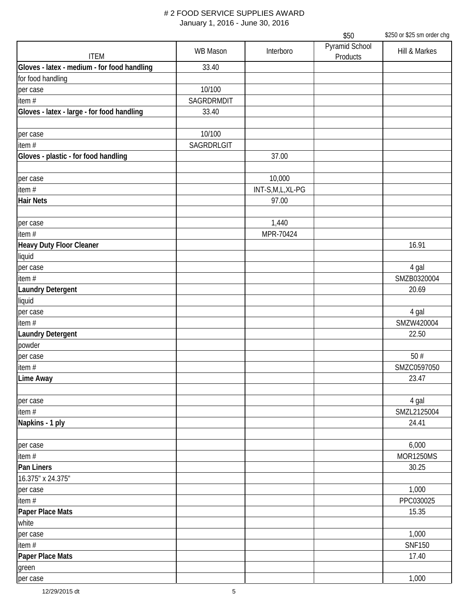|                                             |                 |                 | \$50                       | \$250 or \$25 sm order chg |
|---------------------------------------------|-----------------|-----------------|----------------------------|----------------------------|
| <b>ITEM</b>                                 | <b>WB Mason</b> | Interboro       | Pyramid School<br>Products | Hill & Markes              |
| Gloves - latex - medium - for food handling | 33.40           |                 |                            |                            |
| for food handling                           |                 |                 |                            |                            |
| per case                                    | 10/100          |                 |                            |                            |
| item#                                       | SAGRDRMDIT      |                 |                            |                            |
| Gloves - latex - large - for food handling  | 33.40           |                 |                            |                            |
|                                             |                 |                 |                            |                            |
| per case                                    | 10/100          |                 |                            |                            |
| item#                                       | SAGRDRLGIT      |                 |                            |                            |
| Gloves - plastic - for food handling        |                 | 37.00           |                            |                            |
|                                             |                 |                 |                            |                            |
| per case                                    |                 | 10,000          |                            |                            |
| item#                                       |                 | INT-S,M,L,XL-PG |                            |                            |
| <b>Hair Nets</b>                            |                 | 97.00           |                            |                            |
|                                             |                 |                 |                            |                            |
| per case                                    |                 | 1,440           |                            |                            |
| item#                                       |                 | MPR-70424       |                            |                            |
| Heavy Duty Floor Cleaner                    |                 |                 |                            | 16.91                      |
| liquid                                      |                 |                 |                            |                            |
| per case                                    |                 |                 |                            | 4 gal                      |
| item#                                       |                 |                 |                            | SMZB0320004                |
| <b>Laundry Detergent</b>                    |                 |                 |                            | 20.69                      |
| liquid                                      |                 |                 |                            |                            |
| per case                                    |                 |                 |                            | 4 gal                      |
| item#                                       |                 |                 |                            | SMZW420004                 |
| <b>Laundry Detergent</b>                    |                 |                 |                            | 22.50                      |
| powder                                      |                 |                 |                            |                            |
|                                             |                 |                 |                            | 50#                        |
| per case                                    |                 |                 |                            |                            |
| item #                                      |                 |                 |                            | SMZC0597050                |
| <b>Lime Away</b>                            |                 |                 |                            | 23.47                      |
|                                             |                 |                 |                            |                            |
| per case                                    |                 |                 |                            | 4 gal                      |
| item#                                       |                 |                 |                            | SMZL2125004                |
| Napkins - 1 ply                             |                 |                 |                            | 24.41                      |
|                                             |                 |                 |                            |                            |
| per case                                    |                 |                 |                            | 6,000                      |
| item#                                       |                 |                 |                            | <b>MOR1250MS</b>           |
| <b>Pan Liners</b>                           |                 |                 |                            | 30.25                      |
| 16.375" x 24.375"                           |                 |                 |                            |                            |
| per case                                    |                 |                 |                            | 1,000                      |
| item#                                       |                 |                 |                            | PPC030025                  |
| Paper Place Mats                            |                 |                 |                            | 15.35                      |
| white                                       |                 |                 |                            |                            |
| per case                                    |                 |                 |                            | 1,000                      |
| item#                                       |                 |                 |                            | <b>SNF150</b>              |
| Paper Place Mats                            |                 |                 |                            | 17.40                      |
| green                                       |                 |                 |                            |                            |
| per case                                    |                 |                 |                            | 1,000                      |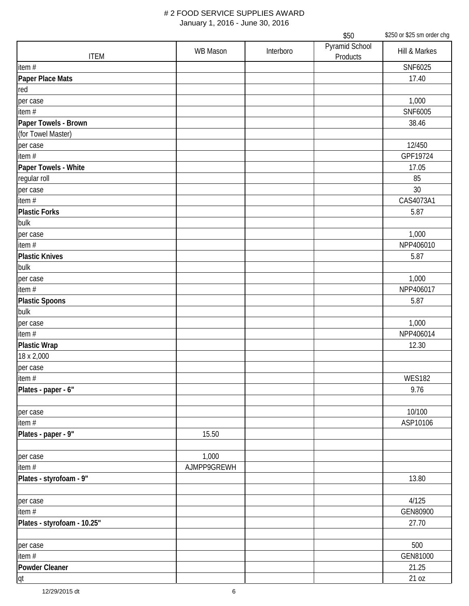|                             | \$50            |           |                            | \$250 or \$25 sm order chg |
|-----------------------------|-----------------|-----------|----------------------------|----------------------------|
| <b>ITEM</b>                 | <b>WB Mason</b> | Interboro | Pyramid School<br>Products | Hill & Markes              |
| item#                       |                 |           |                            | SNF6025                    |
| Paper Place Mats            |                 |           |                            | 17.40                      |
| red                         |                 |           |                            |                            |
| per case                    |                 |           |                            | 1,000                      |
| item#                       |                 |           |                            | SNF6005                    |
| Paper Towels - Brown        |                 |           |                            | 38.46                      |
| (for Towel Master)          |                 |           |                            |                            |
| per case                    |                 |           |                            | 12/450                     |
| item#                       |                 |           |                            | GPF19724                   |
| Paper Towels - White        |                 |           |                            | 17.05                      |
| regular roll                |                 |           |                            | 85                         |
| per case                    |                 |           |                            | 30                         |
| item#                       |                 |           |                            | CAS4073A1                  |
| <b>Plastic Forks</b>        |                 |           |                            | 5.87                       |
| bulk                        |                 |           |                            |                            |
| per case                    |                 |           |                            | 1,000                      |
| item #                      |                 |           |                            | NPP406010                  |
| <b>Plastic Knives</b>       |                 |           |                            | 5.87                       |
| bulk                        |                 |           |                            |                            |
| per case                    |                 |           |                            | 1,000                      |
| item#                       |                 |           |                            | NPP406017                  |
| <b>Plastic Spoons</b>       |                 |           |                            | 5.87                       |
| bulk                        |                 |           |                            |                            |
| per case                    |                 |           |                            | 1,000                      |
| item $#$                    |                 |           |                            | NPP406014                  |
| <b>Plastic Wrap</b>         |                 |           |                            | 12.30                      |
| 18 x 2,000                  |                 |           |                            |                            |
| per case                    |                 |           |                            |                            |
| item #                      |                 |           |                            | <b>WES182</b>              |
| Plates - paper - 6"         |                 |           |                            | 9.76                       |
|                             |                 |           |                            |                            |
| per case                    |                 |           |                            | 10/100                     |
| item $#$                    |                 |           |                            | ASP10106                   |
| Plates - paper - 9"         | 15.50           |           |                            |                            |
|                             |                 |           |                            |                            |
| per case                    | 1,000           |           |                            |                            |
| item #                      | AJMPP9GREWH     |           |                            |                            |
| Plates - styrofoam - 9"     |                 |           |                            | 13.80                      |
|                             |                 |           |                            |                            |
|                             |                 |           |                            | 4/125                      |
| per case<br>item#           |                 |           |                            | GEN80900                   |
|                             |                 |           |                            |                            |
| Plates - styrofoam - 10.25" |                 |           |                            | 27.70                      |
|                             |                 |           |                            |                            |
| per case                    |                 |           |                            | 500                        |
| item#                       |                 |           |                            | GEN81000                   |
| Powder Cleaner              |                 |           |                            | 21.25                      |
| lqt                         |                 |           |                            | 21 oz                      |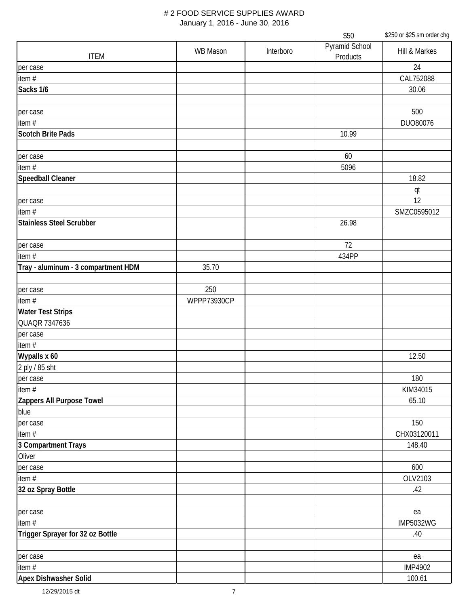|                                     |                 |           | \$50                       | \$250 or \$25 sm order chg |
|-------------------------------------|-----------------|-----------|----------------------------|----------------------------|
| <b>ITEM</b>                         | <b>WB Mason</b> | Interboro | Pyramid School<br>Products | Hill & Markes              |
| per case                            |                 |           |                            | 24                         |
| item $#$                            |                 |           |                            | CAL752088                  |
| Sacks 1/6                           |                 |           |                            | 30.06                      |
|                                     |                 |           |                            |                            |
| per case                            |                 |           |                            | 500                        |
| item #                              |                 |           |                            | DU080076                   |
| <b>Scotch Brite Pads</b>            |                 |           | 10.99                      |                            |
|                                     |                 |           |                            |                            |
| per case                            |                 |           | 60                         |                            |
| item #                              |                 |           | 5096                       |                            |
| <b>Speedball Cleaner</b>            |                 |           |                            | 18.82                      |
|                                     |                 |           |                            | qt                         |
| per case                            |                 |           |                            | 12                         |
| item#                               |                 |           |                            | SMZC0595012                |
| <b>Stainless Steel Scrubber</b>     |                 |           | 26.98                      |                            |
| per case                            |                 |           | 72                         |                            |
| item #                              |                 |           | 434PP                      |                            |
| Tray - aluminum - 3 compartment HDM | 35.70           |           |                            |                            |
|                                     |                 |           |                            |                            |
| per case                            | 250             |           |                            |                            |
| item #                              | WPPP73930CP     |           |                            |                            |
| <b>Water Test Strips</b>            |                 |           |                            |                            |
| QUAQR 7347636                       |                 |           |                            |                            |
| per case                            |                 |           |                            |                            |
| item#                               |                 |           |                            |                            |
| Wypalls x 60                        |                 |           |                            | 12.50                      |
| 2 ply / 85 sht                      |                 |           |                            |                            |
| per case                            |                 |           |                            | 180                        |
| item#                               |                 |           |                            | KIM34015                   |
| Zappers All Purpose Towel           |                 |           |                            | 65.10                      |
| blue                                |                 |           |                            |                            |
| per case                            |                 |           |                            | 150                        |
| item#                               |                 |           |                            | CHX03120011                |
| 3 Compartment Trays                 |                 |           |                            | 148.40                     |
| Oliver                              |                 |           |                            |                            |
| per case                            |                 |           |                            | 600                        |
| item#                               |                 |           |                            | OLV2103                    |
| 32 oz Spray Bottle                  |                 |           |                            | .42                        |
| per case                            |                 |           |                            | ea                         |
| item#                               |                 |           |                            | <b>IMP5032WG</b>           |
| Trigger Sprayer for 32 oz Bottle    |                 |           |                            | .40                        |
|                                     |                 |           |                            |                            |
| per case                            |                 |           |                            | ea                         |
| item #                              |                 |           |                            | <b>IMP4902</b>             |
| Apex Dishwasher Solid               |                 |           |                            | 100.61                     |